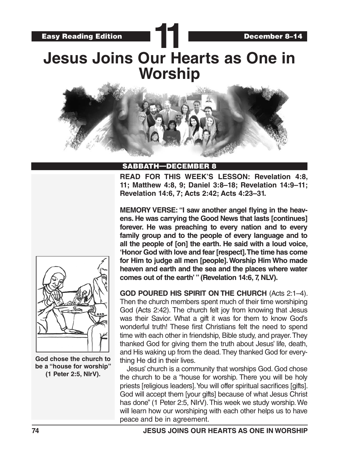# **11 Jesus Joins Our Hearts as One in Worship**



### SABBATH—DECEMBER 8

**READ FOR THIS WEEK'S LESSON: Revelation 4:8, 11; Matthew 4:8, 9; Daniel 3:8–18; Revelation 14:9–11; Revelation 14:6, 7; Acts 2:42; Acts 4:23–31.**

**MEMORY VERSE: "I saw another angel flying in the heavens. He was carrying the Good News that lasts [continues] forever. He was preaching to every nation and to every family group and to the people of every language and to all the people of [on] the earth. He said with a loud voice, 'Honor God with love and fear [respect]. The time has come for Him to judge all men [people]. Worship Him Who made heaven and earth and the sea and the places where water comes out of the earth' " (Revelation 14:6, 7, NLV).** 

**GOD POURED HIS SPIRIT ON THE CHURCH** (Acts 2:1–4). Then the church members spent much of their time worshiping God (Acts 2:42). The church felt joy from knowing that Jesus was their Savior. What a gift it was for them to know God's wonderful truth! These first Christians felt the need to spend time with each other in friendship, Bible study, and prayer. They thanked God for giving them the truth about Jesus' life, death, and His waking up from the dead. They thanked God for everything He did in their lives.

Jesus' church is a community that worships God. God chose the church to be a "house for worship. There you will be holy priests [religious leaders]. You will offer spiritual sacrifices [gifts]. God will accept them [your gifts] because of what Jesus Christ has done" (1 Peter 2:5, NIrV). This week we study worship. We will learn how our worshiping with each other helps us to have peace and be in agreement.



**God chose the church to be a "house for worship" (1 Peter 2:5, NIrV).**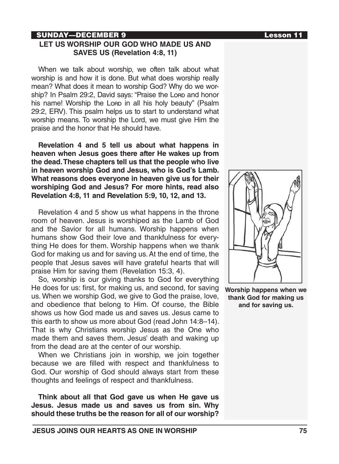# SUNDAY—DECEMBER 9 Lesson 11

# **LET US WORSHIP OUR GOD WHO MADE US AND SAVES US (Revelation 4:8, 11)**

When we talk about worship, we often talk about what worship is and how it is done. But what does worship really mean? What does it mean to worship God? Why do we worship? In Psalm 29:2, David says: "Praise the Lorp and honor his name! Worship the Lorp in all his holy beauty" (Psalm 29:2, ERV). This psalm helps us to start to understand what worship means. To worship the Lord, we must give Him the praise and the honor that He should have.

**Revelation 4 and 5 tell us about what happens in heaven when Jesus goes there after He wakes up from the dead. These chapters tell us that the people who live in heaven worship God and Jesus, who is God's Lamb. What reasons does everyone in heaven give us for their worshiping God and Jesus? For more hints, read also Revelation 4:8, 11 and Revelation 5:9, 10, 12, and 13.**

Revelation 4 and 5 show us what happens in the throne room of heaven. Jesus is worshiped as the Lamb of God and the Savior for all humans. Worship happens when humans show God their love and thankfulness for everything He does for them. Worship happens when we thank God for making us and for saving us. At the end of time, the people that Jesus saves will have grateful hearts that will praise Him for saving them (Revelation 15:3, 4).

So, worship is our giving thanks to God for everything He does for us: first, for making us, and second, for saving us. When we worship God, we give to God the praise, love, and obedience that belong to Him. Of course, the Bible shows us how God made us and saves us. Jesus came to this earth to show us more about God (read John 14:8–14). That is why Christians worship Jesus as the One who made them and saves them. Jesus' death and waking up from the dead are at the center of our worship.

When we Christians join in worship, we join together because we are filled with respect and thankfulness to God. Our worship of God should always start from these thoughts and feelings of respect and thankfulness.

**Think about all that God gave us when He gave us Jesus. Jesus made us and saves us from sin. Why should these truths be the reason for all of our worship?** 



**Worship happens when we thank God for making us and for saving us.**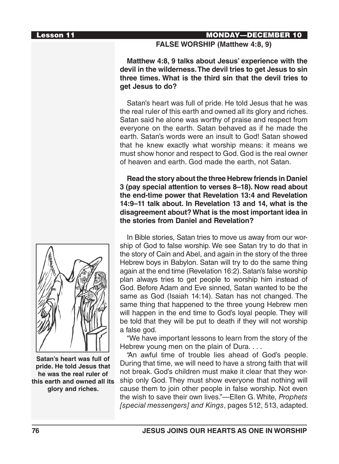## Lesson 11 MONDAY—DECEMBER 10

# **FALSE WORSHIP (Matthew 4:8, 9)**

**Matthew 4:8, 9 talks about Jesus' experience with the devil in the wilderness. The devil tries to get Jesus to sin three times. What is the third sin that the devil tries to get Jesus to do?** 

Satan's heart was full of pride. He told Jesus that he was the real ruler of this earth and owned all its glory and riches. Satan said he alone was worthy of praise and respect from everyone on the earth. Satan behaved as if he made the earth. Satan's words were an insult to God! Satan showed that he knew exactly what worship means: it means we must show honor and respect to God. God is the real owner of heaven and earth. God made the earth, not Satan.

**Read the story about the three Hebrew friends in Daniel 3 (pay special attention to verses 8–18). Now read about the end-time power that Revelation 13:4 and Revelation 14:9–11 talk about. In Revelation 13 and 14, what is the disagreement about? What is the most important idea in the stories from Daniel and Revelation?**



**Satan's heart was full of pride. He told Jesus that he was the real ruler of this earth and owned all its glory and riches.**

In Bible stories, Satan tries to move us away from our worship of God to false worship. We see Satan try to do that in the story of Cain and Abel, and again in the story of the three Hebrew boys in Babylon. Satan will try to do the same thing again at the end time (Revelation 16:2). Satan's false worship plan always tries to get people to worship him instead of God. Before Adam and Eve sinned, Satan wanted to be the same as God (Isaiah 14:14). Satan has not changed. The same thing that happened to the three young Hebrew men will happen in the end time to God's loyal people. They will be told that they will be put to death if they will not worship a false god.

"We have important lessons to learn from the story of the Hebrew young men on the plain of Dura. . . .

"An awful time of trouble lies ahead of God's people. During that time, we will need to have a strong faith that will not break. God's children must make it clear that they worship only God. They must show everyone that nothing will cause them to join other people in false worship. Not even the wish to save their own lives."—Ellen G. White, *Prophets [special messengers] and Kings*, pages 512, 513, adapted.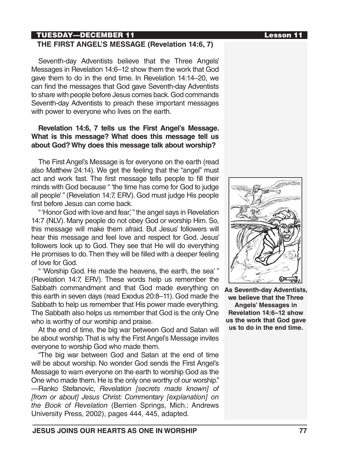# TUESDAY—DECEMBER 11 Lesson 11

# **THE FIRST ANGEL'S MESSAGE (Revelation 14:6, 7)**

Seventh-day Adventists believe that the Three Angels' Messages in Revelation 14:6–12 show them the work that God gave them to do in the end time. In Revelation 14:14–20, we can find the messages that God gave Seventh-day Adventists to share with people before Jesus comes back. God commands Seventh-day Adventists to preach these important messages with power to everyone who lives on the earth.

# **Revelation 14:6, 7 tells us the First Angel's Message. What is this message? What does this message tell us about God? Why does this message talk about worship?**

The First Angel's Message is for everyone on the earth (read also Matthew 24:14). We get the feeling that the "angel" must act and work fast. The first message tells people to fill their minds with God because " 'the time has come for God to judge all people' " (Revelation 14:7, ERV). God must judge His people first before Jesus can come back.

" 'Honor God with love and fear,' " the angel says in Revelation 14:7 (NLV). Many people do not obey God or worship Him. So, this message will make them afraid. But Jesus' followers will hear this message and feel love and respect for God. Jesus' followers look up to God. They see that He will do everything He promises to do. Then they will be filled with a deeper feeling of love for God.

" 'Worship God. He made the heavens, the earth, the sea' " (Revelation 14:7, ERV). These words help us remember the Sabbath commandment and that God made everything on this earth in seven days (read Exodus 20:8–11). God made the Sabbath to help us remember that His power made everything. The Sabbath also helps us remember that God is the only One who is worthy of our worship and praise.

At the end of time, the big war between God and Satan will be about worship. That is why the First Angel's Message invites everyone to worship God who made them.

"The big war between God and Satan at the end of time will be about worship. No wonder God sends the First Angel's Message to warn everyone on the earth to worship God as the One who made them. He is the only one worthy of our worship." —Ranko Stefanovic, *Revelation [secrets made known] of [from or about] Jesus Christ: Commentary [explanation] on the Book of Revelation* (Berrien Springs, Mich.: Andrews University Press, 2002), pages 444, 445, adapted.



**As Seventh-day Adventists, we believe that the Three Angels' Messages in Revelation 14:6–12 show us the work that God gave us to do in the end time.**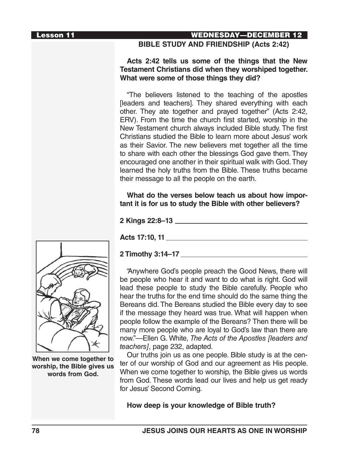# Lesson 11 WEDNESDAY—DECEMBER 12

# **BIBLE STUDY AND FRIENDSHIP (Acts 2:42)**

# **Acts 2:42 tells us some of the things that the New Testament Christians did when they worshiped together. What were some of those things they did?**

"The believers listened to the teaching of the apostles [leaders and teachers]. They shared everything with each other. They ate together and prayed together" (Acts 2:42, ERV). From the time the church first started, worship in the New Testament church always included Bible study. The first Christians studied the Bible to learn more about Jesus' work as their Savior. The new believers met together all the time to share with each other the blessings God gave them. They encouraged one another in their spiritual walk with God. They learned the holy truths from the Bible. These truths became their message to all the people on the earth.

**What do the verses below teach us about how important it is for us to study the Bible with other believers?**

**2 Kings 22:8–13**

**Acts 17:10, 11**

### **2 Timothy 3:14–17**

"Anywhere God's people preach the Good News, there will be people who hear it and want to do what is right. God will lead these people to study the Bible carefully. People who hear the truths for the end time should do the same thing the Bereans did. The Bereans studied the Bible every day to see if the message they heard was true. What will happen when people follow the example of the Bereans? Then there will be many more people who are loyal to God's law than there are now."—Ellen G. White, *The Acts of the Apostles [leaders and teachers]*, page 232, adapted.

Our truths join us as one people. Bible study is at the center of our worship of God and our agreement as His people. When we come together to worship, the Bible gives us words from God. These words lead our lives and help us get ready for Jesus' Second Coming.

**How deep is your knowledge of Bible truth?**



**When we come together to worship, the Bible gives us words from God.**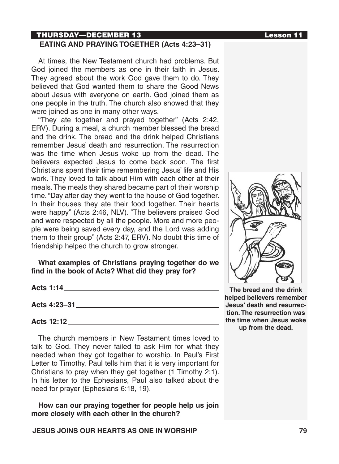### **How can our praying together for people help us join**

need for prayer (Ephesians 6:18, 19).

**more closely with each other in the church?**

**JESUS JOINS OUR HEARTS AS ONE IN WORSHIP 79**

**The bread and the drink helped believers remember Jesus' death and resurrection. The resurrection was the time when Jesus woke up from the dead.** 



## THURSDAY—DECEMBER 13 Lesson 11 **EATING AND PRAYING TOGETHER (Acts 4:23–31)**

At times, the New Testament church had problems. But God joined the members as one in their faith in Jesus. They agreed about the work God gave them to do. They believed that God wanted them to share the Good News about Jesus with everyone on earth. God joined them as one people in the truth. The church also showed that they were joined as one in many other ways.

"They ate together and prayed together" (Acts 2:42, ERV). During a meal, a church member blessed the bread and the drink. The bread and the drink helped Christians remember Jesus' death and resurrection. The resurrection was the time when Jesus woke up from the dead. The believers expected Jesus to come back soon. The first Christians spent their time remembering Jesus' life and His work. They loved to talk about Him with each other at their meals. The meals they shared became part of their worship time. "Day after day they went to the house of God together. In their houses they ate their food together. Their hearts were happy" (Acts 2:46, NLV). "The believers praised God and were respected by all the people. More and more people were being saved every day, and the Lord was adding them to their group" (Acts 2:47, ERV). No doubt this time of friendship helped the church to grow stronger.

**What examples of Christians praying together do we** 

The church members in New Testament times loved to talk to God. They never failed to ask Him for what they needed when they got together to worship. In Paul's First Letter to Timothy, Paul tells him that it is very important for Christians to pray when they get together (1 Timothy 2:1). In his letter to the Ephesians, Paul also talked about the

**find in the book of Acts? What did they pray for?**

**Acts 4:23–31**

**Acts 1:14**

**Acts 12:12**